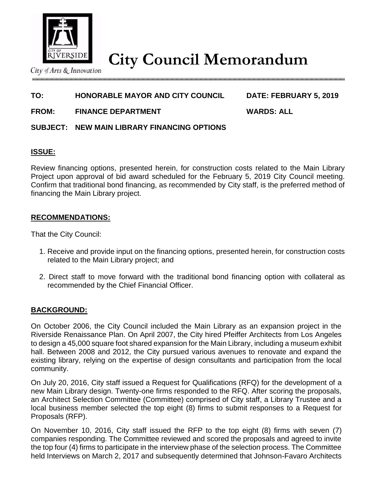

**City Council Memorandum**

City of Arts & Innovation

# **TO: HONORABLE MAYOR AND CITY COUNCIL DATE: FEBRUARY 5, 2019**

**FROM: FINANCE DEPARTMENT WARDS: ALL**

# **SUBJECT: NEW MAIN LIBRARY FINANCING OPTIONS**

# **ISSUE:**

Review financing options, presented herein, for construction costs related to the Main Library Project upon approval of bid award scheduled for the February 5, 2019 City Council meeting. Confirm that traditional bond financing, as recommended by City staff, is the preferred method of financing the Main Library project.

# **RECOMMENDATIONS:**

That the City Council:

- 1. Receive and provide input on the financing options, presented herein, for construction costs related to the Main Library project; and
- 2. Direct staff to move forward with the traditional bond financing option with collateral as recommended by the Chief Financial Officer.

### **BACKGROUND:**

On October 2006, the City Council included the Main Library as an expansion project in the Riverside Renaissance Plan. On April 2007, the City hired Pfeiffer Architects from Los Angeles to design a 45,000 square foot shared expansion for the Main Library, including a museum exhibit hall. Between 2008 and 2012, the City pursued various avenues to renovate and expand the existing library, relying on the expertise of design consultants and participation from the local community.

On July 20, 2016, City staff issued a Request for Qualifications (RFQ) for the development of a new Main Library design. Twenty-one firms responded to the RFQ. After scoring the proposals, an Architect Selection Committee (Committee) comprised of City staff, a Library Trustee and a local business member selected the top eight (8) firms to submit responses to a Request for Proposals (RFP).

On November 10, 2016, City staff issued the RFP to the top eight (8) firms with seven (7) companies responding. The Committee reviewed and scored the proposals and agreed to invite the top four (4) firms to participate in the interview phase of the selection process. The Committee held Interviews on March 2, 2017 and subsequently determined that Johnson-Favaro Architects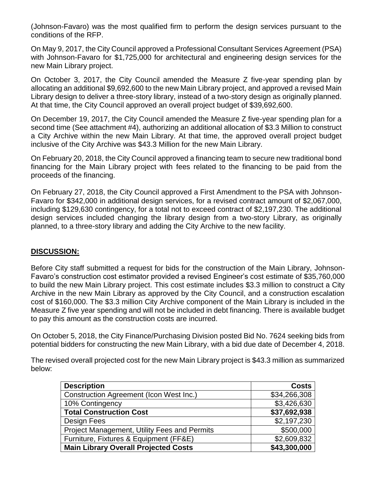(Johnson-Favaro) was the most qualified firm to perform the design services pursuant to the conditions of the RFP.

On May 9, 2017, the City Council approved a Professional Consultant Services Agreement (PSA) with Johnson-Favaro for \$1,725,000 for architectural and engineering design services for the new Main Library project.

On October 3, 2017, the City Council amended the Measure Z five-year spending plan by allocating an additional \$9,692,600 to the new Main Library project, and approved a revised Main Library design to deliver a three-story library, instead of a two-story design as originally planned. At that time, the City Council approved an overall project budget of \$39,692,600.

On December 19, 2017, the City Council amended the Measure Z five-year spending plan for a second time (See attachment #4), authorizing an additional allocation of \$3.3 Million to construct a City Archive within the new Main Library. At that time, the approved overall project budget inclusive of the City Archive was \$43.3 Million for the new Main Library.

On February 20, 2018, the City Council approved a financing team to secure new traditional bond financing for the Main Library project with fees related to the financing to be paid from the proceeds of the financing.

On February 27, 2018, the City Council approved a First Amendment to the PSA with Johnson-Favaro for \$342,000 in additional design services, for a revised contract amount of \$2,067,000, including \$129,630 contingency, for a total not to exceed contract of \$2,197,230. The additional design services included changing the library design from a two-story Library, as originally planned, to a three-story library and adding the City Archive to the new facility.

# **DISCUSSION:**

Before City staff submitted a request for bids for the construction of the Main Library, Johnson-Favaro's construction cost estimator provided a revised Engineer's cost estimate of \$35,760,000 to build the new Main Library project. This cost estimate includes \$3.3 million to construct a City Archive in the new Main Library as approved by the City Council, and a construction escalation cost of \$160,000. The \$3.3 million City Archive component of the Main Library is included in the Measure Z five year spending and will not be included in debt financing. There is available budget to pay this amount as the construction costs are incurred.

On October 5, 2018, the City Finance/Purchasing Division posted Bid No. 7624 seeking bids from potential bidders for constructing the new Main Library, with a bid due date of December 4, 2018.

The revised overall projected cost for the new Main Library project is \$43.3 million as summarized below:

| <b>Description</b>                             | <b>Costs</b> |
|------------------------------------------------|--------------|
| <b>Construction Agreement (Icon West Inc.)</b> | \$34,266,308 |
| 10% Contingency                                | \$3,426,630  |
| <b>Total Construction Cost</b>                 | \$37,692,938 |
| Design Fees                                    | \$2,197,230  |
| Project Management, Utility Fees and Permits   | \$500,000    |
| Furniture, Fixtures & Equipment (FF&E)         | \$2,609,832  |
| <b>Main Library Overall Projected Costs</b>    | \$43,300,000 |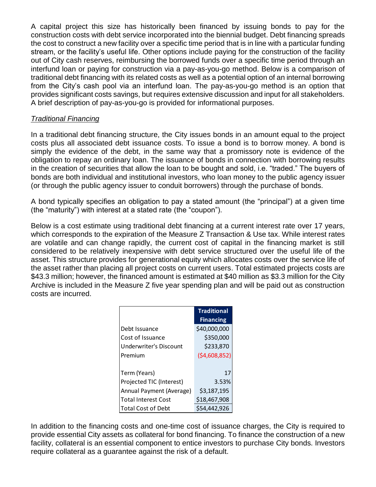A capital project this size has historically been financed by issuing bonds to pay for the construction costs with debt service incorporated into the biennial budget. Debt financing spreads the cost to construct a new facility over a specific time period that is in line with a particular funding stream, or the facility's useful life. Other options include paying for the construction of the facility out of City cash reserves, reimbursing the borrowed funds over a specific time period through an interfund loan or paying for construction via a pay-as-you-go method. Below is a comparison of traditional debt financing with its related costs as well as a potential option of an internal borrowing from the City's cash pool via an interfund loan. The pay-as-you-go method is an option that provides significant costs savings, but requires extensive discussion and input for all stakeholders. A brief description of pay-as-you-go is provided for informational purposes.

# *Traditional Financing*

In a traditional debt financing structure, the City issues bonds in an amount equal to the project costs plus all associated debt issuance costs. To issue a bond is to borrow money. A bond is simply the evidence of the debt, in the same way that a promissory note is evidence of the obligation to repay an ordinary loan. The issuance of bonds in connection with borrowing results in the creation of securities that allow the loan to be bought and sold, i.e. "traded." The buyers of bonds are both individual and institutional investors, who loan money to the public agency issuer (or through the public agency issuer to conduit borrowers) through the purchase of bonds.

A bond typically specifies an obligation to pay a stated amount (the "principal") at a given time (the "maturity") with interest at a stated rate (the "coupon").

Below is a cost estimate using traditional debt financing at a current interest rate over 17 years, which corresponds to the expiration of the Measure Z Transaction & Use tax. While interest rates are volatile and can change rapidly, the current cost of capital in the financing market is still considered to be relatively inexpensive with debt service structured over the useful life of the asset. This structure provides for generational equity which allocates costs over the service life of the asset rather than placing all project costs on current users. Total estimated projects costs are \$43.3 million; however, the financed amount is estimated at \$40 million as \$3.3 million for the City Archive is included in the Measure Z five year spending plan and will be paid out as construction costs are incurred.

|                            | <b>Traditional</b> |  |  |  |  |
|----------------------------|--------------------|--|--|--|--|
|                            | <b>Financing</b>   |  |  |  |  |
| Debt Issuance              | \$40,000,000       |  |  |  |  |
| Cost of Issuance           | \$350,000          |  |  |  |  |
| Underwriter's Discount     | \$233,870          |  |  |  |  |
| Premium                    | (54,608,852)       |  |  |  |  |
|                            |                    |  |  |  |  |
| Term (Years)               | 17                 |  |  |  |  |
| Projected TIC (Interest)   | 3.53%              |  |  |  |  |
| Annual Payment (Average)   | \$3,187,195        |  |  |  |  |
| <b>Total Interest Cost</b> | \$18,467,908       |  |  |  |  |
| <b>Total Cost of Debt</b>  | \$54,442,926       |  |  |  |  |

In addition to the financing costs and one-time cost of issuance charges, the City is required to provide essential City assets as collateral for bond financing. To finance the construction of a new facility, collateral is an essential component to entice investors to purchase City bonds. Investors require collateral as a guarantee against the risk of a default.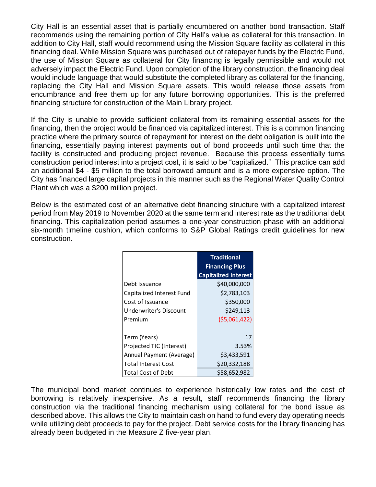City Hall is an essential asset that is partially encumbered on another bond transaction. Staff recommends using the remaining portion of City Hall's value as collateral for this transaction. In addition to City Hall, staff would recommend using the Mission Square facility as collateral in this financing deal. While Mission Square was purchased out of ratepayer funds by the Electric Fund, the use of Mission Square as collateral for City financing is legally permissible and would not adversely impact the Electric Fund. Upon completion of the library construction, the financing deal would include language that would substitute the completed library as collateral for the financing, replacing the City Hall and Mission Square assets. This would release those assets from encumbrance and free them up for any future borrowing opportunities. This is the preferred financing structure for construction of the Main Library project.

If the City is unable to provide sufficient collateral from its remaining essential assets for the financing, then the project would be financed via capitalized interest. This is a common financing practice where the primary source of repayment for interest on the debt obligation is built into the financing, essentially paying interest payments out of bond proceeds until such time that the facility is constructed and producing project revenue. Because this process essentially turns construction period interest into a project cost, it is said to be "capitalized." This practice can add an additional \$4 - \$5 million to the total borrowed amount and is a more expensive option. The City has financed large capital projects in this manner such as the Regional Water Quality Control Plant which was a \$200 million project.

Below is the estimated cost of an alternative debt financing structure with a capitalized interest period from May 2019 to November 2020 at the same term and interest rate as the traditional debt financing. This capitalization period assumes a one-year construction phase with an additional six-month timeline cushion, which conforms to S&P Global Ratings credit guidelines for new construction.

|                            | <b>Traditional</b><br><b>Financing Plus</b> |
|----------------------------|---------------------------------------------|
|                            | <b>Capitalized Interest</b>                 |
| Debt Issuance              | \$40,000,000                                |
| Capitalized Interest Fund  | \$2,783,103                                 |
| Cost of Issuance           | \$350,000                                   |
| Underwriter's Discount     | \$249,113                                   |
| Premium                    | (55,061,422)                                |
|                            |                                             |
| Term (Years)               | 17                                          |
| Projected TIC (Interest)   | 3.53%                                       |
| Annual Payment (Average)   | \$3,433,591                                 |
| <b>Total Interest Cost</b> | \$20,332,188                                |
| <b>Total Cost of Debt</b>  | \$58.652.982                                |

The municipal bond market continues to experience historically low rates and the cost of borrowing is relatively inexpensive. As a result, staff recommends financing the library construction via the traditional financing mechanism using collateral for the bond issue as described above. This allows the City to maintain cash on hand to fund every day operating needs while utilizing debt proceeds to pay for the project. Debt service costs for the library financing has already been budgeted in the Measure Z five-year plan.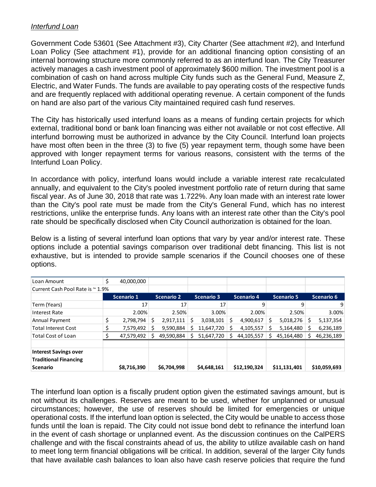### *Interfund Loan*

Government Code 53601 (See Attachment #3), City Charter (See attachment #2), and Interfund Loan Policy (See attachment #1), provide for an additional financing option consisting of an internal borrowing structure more commonly referred to as an interfund loan. The City Treasurer actively manages a cash investment pool of approximately \$600 million. The investment pool is a combination of cash on hand across multiple City funds such as the General Fund, Measure Z, Electric, and Water Funds. The funds are available to pay operating costs of the respective funds and are frequently replaced with additional operating revenue. A certain component of the funds on hand are also part of the various City maintained required cash fund reserves.

The City has historically used interfund loans as a means of funding certain projects for which external, traditional bond or bank loan financing was either not available or not cost effective. All interfund borrowing must be authorized in advance by the City Council. Interfund loan projects have most often been in the three (3) to five (5) year repayment term, though some have been approved with longer repayment terms for various reasons, consistent with the terms of the Interfund Loan Policy.

In accordance with policy, interfund loans would include a variable interest rate recalculated annually, and equivalent to the City's pooled investment portfolio rate of return during that same fiscal year. As of June 30, 2018 that rate was 1.722%. Any loan made with an interest rate lower than the City's pool rate must be made from the City's General Fund, which has no interest restrictions, unlike the enterprise funds. Any loans with an interest rate other than the City's pool rate should be specifically disclosed when City Council authorization is obtained for the loan.

Below is a listing of several interfund loan options that vary by year and/or interest rate. These options include a potential savings comparison over traditional debt financing. This list is not exhaustive, but is intended to provide sample scenarios if the Council chooses one of these options.

| Loan Amount                      | \$<br>40,000,000 |   |                   |   |                   |    |                   |   |                   |                 |
|----------------------------------|------------------|---|-------------------|---|-------------------|----|-------------------|---|-------------------|-----------------|
| Current Cash Pool Rate is ~ 1.9% |                  |   |                   |   |                   |    |                   |   |                   |                 |
|                                  | Scenario 1       |   | <b>Scenario 2</b> |   | <b>Scenario 3</b> |    | <b>Scenario 4</b> |   | <b>Scenario 5</b> | Scenario 6      |
| Term (Years)                     | 17               |   | 17                |   | 17                |    | q                 |   | 9                 | 9               |
| <b>Interest Rate</b>             | 2.00%            |   | 2.50%             |   | 3.00%             |    | 2.00%             |   | 2.50%             | 3.00%           |
| Annual Payment                   | \$<br>2,798,794  | Ś | 2,917,111         | Ś | 3,038,101         | Ś. | 4,900,617         | Ś | 5,018,276         | \$<br>5,137,354 |
| <b>Total Interest Cost</b>       | 7,579,492        |   | 9,590,884         |   | 11,647,720        |    | 4,105,557         |   | 5,164,480         | 6,236,189       |
| <b>Total Cost of Loan</b>        | 47,579,492       |   | 49,590,884        |   | 51,647,720        | s  | 44,105,557        |   | 45,164,480        | 46,236,189      |
|                                  |                  |   |                   |   |                   |    |                   |   |                   |                 |
| <b>Interest Savings over</b>     |                  |   |                   |   |                   |    |                   |   |                   |                 |
| <b>Traditional Financing</b>     |                  |   |                   |   |                   |    |                   |   |                   |                 |
| <b>Scenario</b>                  | \$8,716,390      |   | \$6,704,998       |   | \$4,648,161       |    | \$12,190,324      |   | \$11,131,401      | \$10,059,693    |

The interfund loan option is a fiscally prudent option given the estimated savings amount, but is not without its challenges. Reserves are meant to be used, whether for unplanned or unusual circumstances; however, the use of reserves should be limited for emergencies or unique operational costs. If the interfund loan option is selected, the City would be unable to access those funds until the loan is repaid. The City could not issue bond debt to refinance the interfund loan in the event of cash shortage or unplanned event. As the discussion continues on the CalPERS challenge and with the fiscal constraints ahead of us, the ability to utilize available cash on hand to meet long term financial obligations will be critical. In addition, several of the larger City funds that have available cash balances to loan also have cash reserve policies that require the fund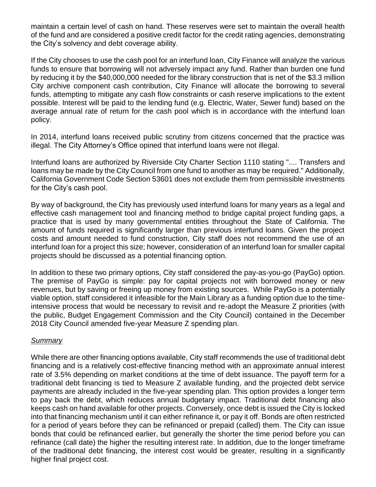maintain a certain level of cash on hand. These reserves were set to maintain the overall health of the fund and are considered a positive credit factor for the credit rating agencies, demonstrating the City's solvency and debt coverage ability.

If the City chooses to use the cash pool for an interfund loan, City Finance will analyze the various funds to ensure that borrowing will not adversely impact any fund. Rather than burden one fund by reducing it by the \$40,000,000 needed for the library construction that is net of the \$3.3 million City archive component cash contribution, City Finance will allocate the borrowing to several funds, attempting to mitigate any cash flow constraints or cash reserve implications to the extent possible. Interest will be paid to the lending fund (e.g. Electric, Water, Sewer fund) based on the average annual rate of return for the cash pool which is in accordance with the interfund loan policy.

In 2014, interfund loans received public scrutiny from citizens concerned that the practice was illegal. The City Attorney's Office opined that interfund loans were not illegal.

Interfund loans are authorized by Riverside City Charter Section 1110 stating ".... Transfers and loans may be made by the City Council from one fund to another as may be required." Additionally, California Government Code Section 53601 does not exclude them from permissible investments for the City's cash pool.

By way of background, the City has previously used interfund loans for many years as a legal and effective cash management tool and financing method to bridge capital project funding gaps, a practice that is used by many governmental entities throughout the State of California. The amount of funds required is significantly larger than previous interfund loans. Given the project costs and amount needed to fund construction, City staff does not recommend the use of an interfund loan for a project this size; however, consideration of an interfund loan for smaller capital projects should be discussed as a potential financing option.

In addition to these two primary options, City staff considered the pay-as-you-go (PayGo) option. The premise of PayGo is simple: pay for capital projects not with borrowed money or new revenues, but by saving or freeing up money from existing sources. While PayGo is a potentially viable option, staff considered it infeasible for the Main Library as a funding option due to the timeintensive process that would be necessary to revisit and re-adopt the Measure Z priorities (with the public, Budget Engagement Commission and the City Council) contained in the December 2018 City Council amended five-year Measure Z spending plan.

### *Summary*

While there are other financing options available, City staff recommends the use of traditional debt financing and is a relatively cost-effective financing method with an approximate annual interest rate of 3.5% depending on market conditions at the time of debt issuance. The payoff term for a traditional debt financing is tied to Measure Z available funding, and the projected debt service payments are already included in the five-year spending plan. This option provides a longer term to pay back the debt, which reduces annual budgetary impact. Traditional debt financing also keeps cash on hand available for other projects. Conversely, once debt is issued the City is locked into that financing mechanism until it can either refinance it, or pay it off. Bonds are often restricted for a period of years before they can be refinanced or prepaid (called) them. The City can issue bonds that could be refinanced earlier, but generally the shorter the time period before you can refinance (call date) the higher the resulting interest rate. In addition, due to the longer timeframe of the traditional debt financing, the interest cost would be greater, resulting in a significantly higher final project cost.